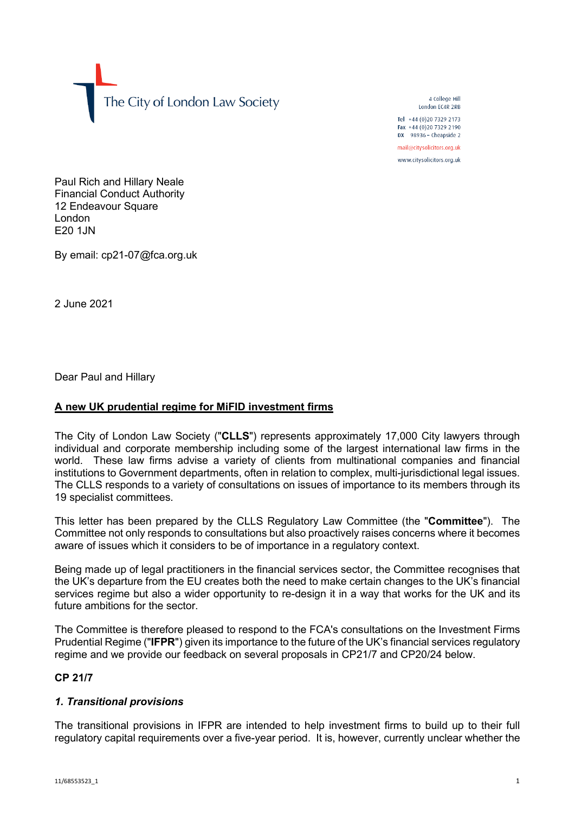The City of London Law Society

4 College Hill London FC4R 2RB

Tel +44 (0)20 7329 2173 Fax +44 (0)20 7329 2190 DX  $98936$  - Cheapside 2 mail@citysolicitors.org.uk

www.citysolicitors.org.uk

Paul Rich and Hillary Neale Financial Conduct Authority 12 Endeavour Square London E20 1JN

By email: cp21-07@fca.org.uk

2 June 2021

Dear Paul and Hillary

## **A new UK prudential regime for MiFID investment firms**

The City of London Law Society ("**CLLS**") represents approximately 17,000 City lawyers through individual and corporate membership including some of the largest international law firms in the world. These law firms advise a variety of clients from multinational companies and financial institutions to Government departments, often in relation to complex, multi-jurisdictional legal issues. The CLLS responds to a variety of consultations on issues of importance to its members through its 19 specialist committees.

This letter has been prepared by the CLLS Regulatory Law Committee (the "**Committee**"). The Committee not only responds to consultations but also proactively raises concerns where it becomes aware of issues which it considers to be of importance in a regulatory context.

Being made up of legal practitioners in the financial services sector, the Committee recognises that the UK's departure from the EU creates both the need to make certain changes to the UK's financial services regime but also a wider opportunity to re-design it in a way that works for the UK and its future ambitions for the sector.

The Committee is therefore pleased to respond to the FCA's consultations on the Investment Firms Prudential Regime ("**IFPR**") given its importance to the future of the UK's financial services regulatory regime and we provide our feedback on several proposals in CP21/7 and CP20/24 below.

### **CP 21/7**

## *1. Transitional provisions*

The transitional provisions in IFPR are intended to help investment firms to build up to their full regulatory capital requirements over a five-year period. It is, however, currently unclear whether the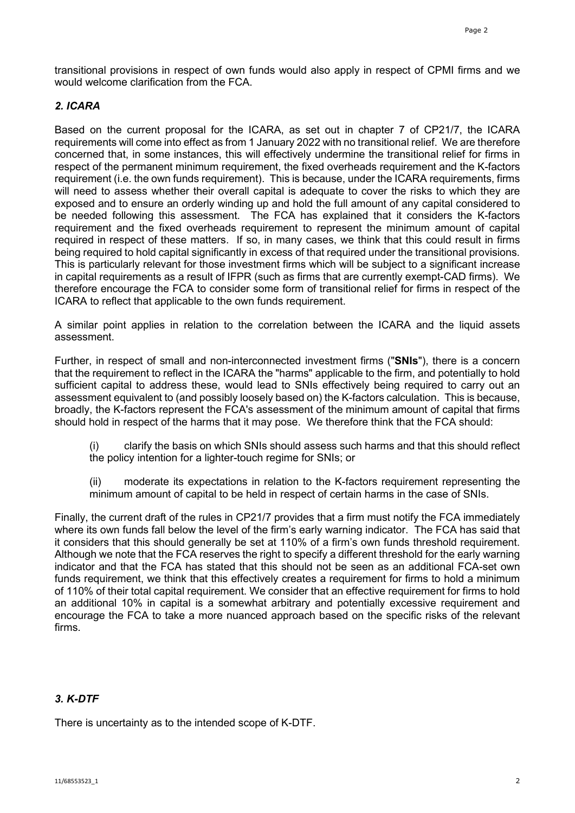transitional provisions in respect of own funds would also apply in respect of CPMI firms and we would welcome clarification from the FCA.

## *2. ICARA*

Based on the current proposal for the ICARA, as set out in chapter 7 of CP21/7, the ICARA requirements will come into effect as from 1 January 2022 with no transitional relief. We are therefore concerned that, in some instances, this will effectively undermine the transitional relief for firms in respect of the permanent minimum requirement, the fixed overheads requirement and the K-factors requirement (i.e. the own funds requirement). This is because, under the ICARA requirements, firms will need to assess whether their overall capital is adequate to cover the risks to which they are exposed and to ensure an orderly winding up and hold the full amount of any capital considered to be needed following this assessment. The FCA has explained that it considers the K-factors requirement and the fixed overheads requirement to represent the minimum amount of capital required in respect of these matters. If so, in many cases, we think that this could result in firms being required to hold capital significantly in excess of that required under the transitional provisions. This is particularly relevant for those investment firms which will be subject to a significant increase in capital requirements as a result of IFPR (such as firms that are currently exempt-CAD firms). We therefore encourage the FCA to consider some form of transitional relief for firms in respect of the ICARA to reflect that applicable to the own funds requirement.

A similar point applies in relation to the correlation between the ICARA and the liquid assets assessment.

Further, in respect of small and non-interconnected investment firms ("**SNIs**"), there is a concern that the requirement to reflect in the ICARA the "harms" applicable to the firm, and potentially to hold sufficient capital to address these, would lead to SNIs effectively being required to carry out an assessment equivalent to (and possibly loosely based on) the K-factors calculation. This is because, broadly, the K-factors represent the FCA's assessment of the minimum amount of capital that firms should hold in respect of the harms that it may pose. We therefore think that the FCA should:

(i) clarify the basis on which SNIs should assess such harms and that this should reflect the policy intention for a lighter-touch regime for SNIs; or

(ii) moderate its expectations in relation to the K-factors requirement representing the minimum amount of capital to be held in respect of certain harms in the case of SNIs.

Finally, the current draft of the rules in CP21/7 provides that a firm must notify the FCA immediately where its own funds fall below the level of the firm's early warning indicator. The FCA has said that it considers that this should generally be set at 110% of a firm's own funds threshold requirement. Although we note that the FCA reserves the right to specify a different threshold for the early warning indicator and that the FCA has stated that this should not be seen as an additional FCA-set own funds requirement, we think that this effectively creates a requirement for firms to hold a minimum of 110% of their total capital requirement. We consider that an effective requirement for firms to hold an additional 10% in capital is a somewhat arbitrary and potentially excessive requirement and encourage the FCA to take a more nuanced approach based on the specific risks of the relevant firms.

# *3. K-DTF*

There is uncertainty as to the intended scope of K-DTF.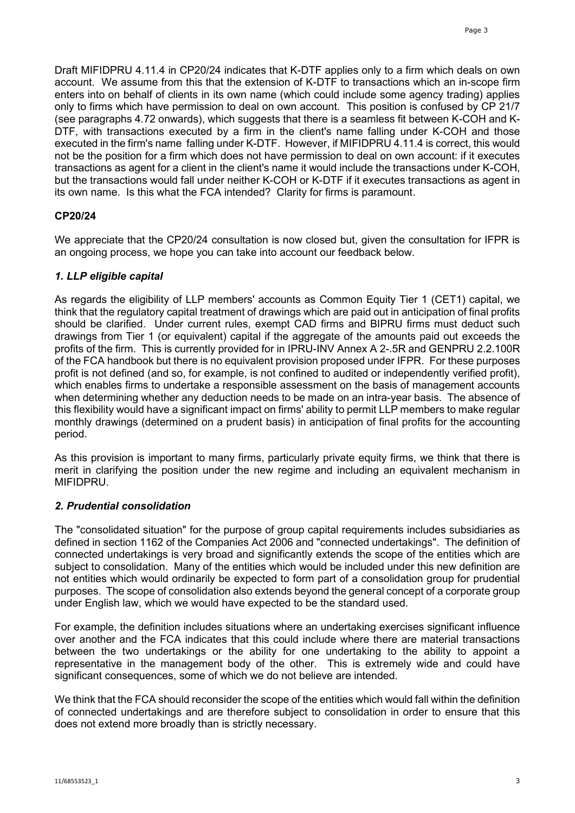Draft MIFIDPRU 4.11.4 in CP20/24 indicates that K-DTF applies only to a firm which deals on own account. We assume from this that the extension of K-DTF to transactions which an in-scope firm enters into on behalf of clients in its own name (which could include some agency trading) applies only to firms which have permission to deal on own account. This position is confused by CP 21/7 (see paragraphs 4.72 onwards), which suggests that there is a seamless fit between K-COH and K-DTF, with transactions executed by a firm in the client's name falling under K-COH and those executed in the firm's name falling under K-DTF. However, if MIFIDPRU 4.11.4 is correct, this would not be the position for a firm which does not have permission to deal on own account: if it executes transactions as agent for a client in the client's name it would include the transactions under K-COH, but the transactions would fall under neither K-COH or K-DTF if it executes transactions as agent in its own name. Is this what the FCA intended? Clarity for firms is paramount.

### **CP20/24**

We appreciate that the CP20/24 consultation is now closed but, given the consultation for IFPR is an ongoing process, we hope you can take into account our feedback below.

### *1. LLP eligible capital*

As regards the eligibility of LLP members' accounts as Common Equity Tier 1 (CET1) capital, we think that the regulatory capital treatment of drawings which are paid out in anticipation of final profits should be clarified. Under current rules, exempt CAD firms and BIPRU firms must deduct such drawings from Tier 1 (or equivalent) capital if the aggregate of the amounts paid out exceeds the profits of the firm. This is currently provided for in IPRU-INV Annex A 2-.5R and GENPRU 2.2.100R of the FCA handbook but there is no equivalent provision proposed under IFPR. For these purposes profit is not defined (and so, for example, is not confined to audited or independently verified profit), which enables firms to undertake a responsible assessment on the basis of management accounts when determining whether any deduction needs to be made on an intra-year basis. The absence of this flexibility would have a significant impact on firms' ability to permit LLP members to make regular monthly drawings (determined on a prudent basis) in anticipation of final profits for the accounting period.

As this provision is important to many firms, particularly private equity firms, we think that there is merit in clarifying the position under the new regime and including an equivalent mechanism in MIFIDPRU.

### *2. Prudential consolidation*

The "consolidated situation" for the purpose of group capital requirements includes subsidiaries as defined in section 1162 of the Companies Act 2006 and "connected undertakings". The definition of connected undertakings is very broad and significantly extends the scope of the entities which are subject to consolidation. Many of the entities which would be included under this new definition are not entities which would ordinarily be expected to form part of a consolidation group for prudential purposes. The scope of consolidation also extends beyond the general concept of a corporate group under English law, which we would have expected to be the standard used.

For example, the definition includes situations where an undertaking exercises significant influence over another and the FCA indicates that this could include where there are material transactions between the two undertakings or the ability for one undertaking to the ability to appoint a representative in the management body of the other. This is extremely wide and could have significant consequences, some of which we do not believe are intended.

We think that the FCA should reconsider the scope of the entities which would fall within the definition of connected undertakings and are therefore subject to consolidation in order to ensure that this does not extend more broadly than is strictly necessary.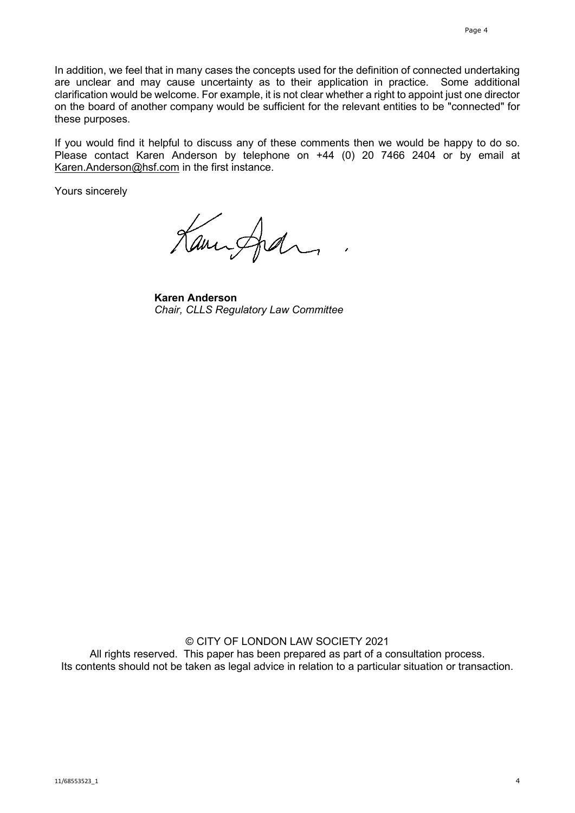In addition, we feel that in many cases the concepts used for the definition of connected undertaking are unclear and may cause uncertainty as to their application in practice. Some additional clarification would be welcome. For example, it is not clear whether a right to appoint just one director on the board of another company would be sufficient for the relevant entities to be "connected" for these purposes.

If you would find it helpful to discuss any of these comments then we would be happy to do so. Please contact Karen Anderson by telephone on +44 (0) 20 7466 2404 or by email at [Karen.Anderson@hsf.com](mailto:Karen.Anderson@hsf.com) in the first instance.

Yours sincerely

Kanisfedra

**Karen Anderson** *Chair, CLLS Regulatory Law Committee*

© CITY OF LONDON LAW SOCIETY 2021 All rights reserved. This paper has been prepared as part of a consultation process. Its contents should not be taken as legal advice in relation to a particular situation or transaction.